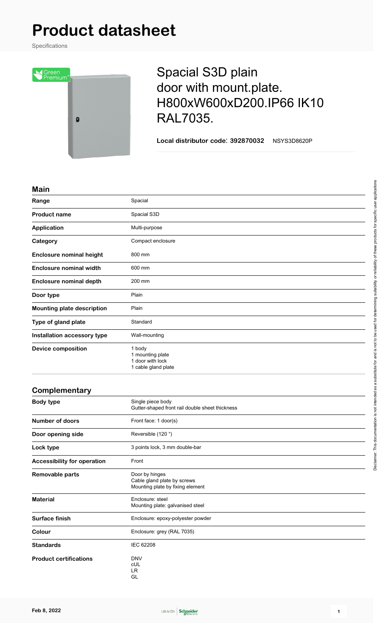# **Product datasheet**

Specifications



## Spacial S3D plain door with mount.plate. H800xW600xD200.IP66 IK10 RAL7035.

**Local distributor code**: **392870032** NSYS3D8620P

#### **Main**

| ,,,,,,,,                          |                                                                       |
|-----------------------------------|-----------------------------------------------------------------------|
| Range                             | Spacial                                                               |
| <b>Product name</b>               | Spacial S3D                                                           |
| Application                       | Multi-purpose                                                         |
| Category                          | Compact enclosure                                                     |
| <b>Enclosure nominal height</b>   | 800 mm                                                                |
| <b>Enclosure nominal width</b>    | 600 mm                                                                |
| <b>Enclosure nominal depth</b>    | 200 mm                                                                |
| Door type                         | Plain                                                                 |
| <b>Mounting plate description</b> | Plain                                                                 |
| Type of gland plate               | Standard                                                              |
| Installation accessory type       | Wall-mounting                                                         |
| <b>Device composition</b>         | 1 body<br>1 mounting plate<br>1 door with lock<br>1 cable gland plate |

### **Complementary Body type** Single piece body Gutter-shaped front rail double sheet thickness **Number of doors** Front face: 1 door(s) **Door opening side** Reversible (120 °) Lock type **3** points lock, 3 mm double-bar **Accessibility for operation** Front **Removable parts** Door by hinges Cable gland plate by screws Mounting plate by fixing element **Material** Enclosure: steel Mounting plate: galvanised steel Surface finish **Enclosure: epoxy-polyester powder Colour** Enclosure: grey (RAL 7035) Standards **IEC 62208 Product certifications** DNV



cUL LR GL